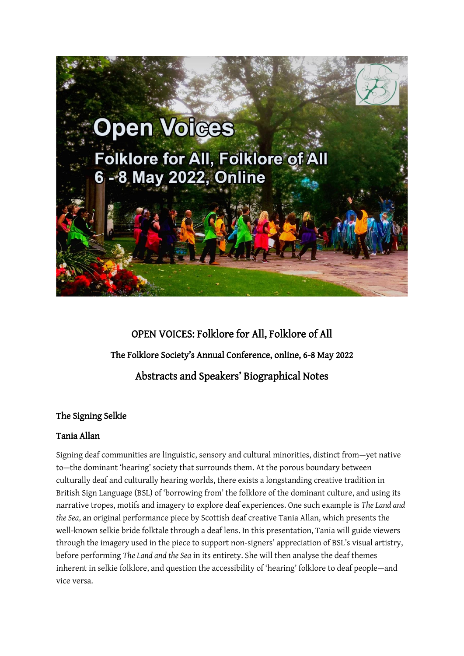

# OPEN VOICES: Folklore for All, Folklore of All The Folklore Society's Annual Conference, online, 6-8 May 2022 Abstracts and Speakers' Biographical Notes

### The Signing Selkie

### Tania Allan

Signing deaf communities are linguistic, sensory and cultural minorities, distinct from—yet native to—the dominant 'hearing' society that surrounds them. At the porous boundary between culturally deaf and culturally hearing worlds, there exists a longstanding creative tradition in British Sign Language (BSL) of 'borrowing from' the folklore of the dominant culture, and using its narrative tropes, motifs and imagery to explore deaf experiences. One such example is *The Land and the Sea*, an original performance piece by Scottish deaf creative Tania Allan, which presents the well-known selkie bride folktale through a deaf lens. In this presentation, Tania will guide viewers through the imagery used in the piece to support non-signers' appreciation of BSL's visual artistry, before performing *The Land and the Sea* in its entirety. She will then analyse the deaf themes inherent in selkie folklore, and question the accessibility of 'hearing' folklore to deaf people—and vice versa.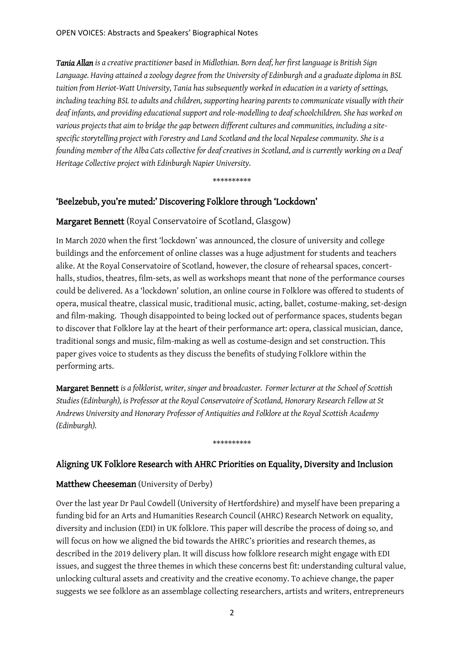*Tania Allan is a creative practitioner based in Midlothian. Born deaf, her first language is British Sign Language. Having attained a zoology degree from the University of Edinburgh and a graduate diploma in BSL tuition from Heriot-Watt University, Tania has subsequently worked in education in a variety of settings, including teaching BSL to adults and children, supporting hearing parents to communicate visually with their deaf infants, and providing educational support and role-modelling to deaf schoolchildren. She has worked on various projects that aim to bridge the gap between different cultures and communities, including a sitespecific storytelling project with Forestry and Land Scotland and the local Nepalese community. She is a founding member of the Alba Cats collective for deaf creatives in Scotland, and is currently working on a Deaf Heritage Collective project with Edinburgh Napier University.*

\*\*\*\*\*\*\*\*\*\*

### 'Beelzebub, you're muted:' Discovering Folklore through 'Lockdown'

### Margaret Bennett (Royal Conservatoire of Scotland, Glasgow)

In March 2020 when the first 'lockdown' was announced, the closure of university and college buildings and the enforcement of online classes was a huge adjustment for students and teachers alike. At the Royal Conservatoire of Scotland, however, the closure of rehearsal spaces, concerthalls, studios, theatres, film-sets, as well as workshops meant that none of the performance courses could be delivered. As a 'lockdown' solution, an online course in Folklore was offered to students of opera, musical theatre, classical music, traditional music, acting, ballet, costume-making, set-design and film-making. Though disappointed to being locked out of performance spaces, students began to discover that Folklore lay at the heart of their performance art: opera, classical musician, dance, traditional songs and music, film-making as well as costume-design and set construction. This paper gives voice to students as they discuss the benefits of studying Folklore within the performing arts.

Margaret Bennett *is a folklorist, writer, singer and broadcaster. Former lecturer at the School of Scottish Studies (Edinburgh), is Professor at the Royal Conservatoire of Scotland, Honorary Research Fellow at St Andrews University and Honorary Professor of Antiquities and Folklore at the Royal Scottish Academy (Edinburgh).*

### Aligning UK Folklore Research with AHRC Priorities on Equality, Diversity and Inclusion

\*\*\*\*\*\*\*\*\*\*

### Matthew Cheeseman (University of Derby)

Over the last year Dr Paul Cowdell (University of Hertfordshire) and myself have been preparing a funding bid for an Arts and Humanities Research Council (AHRC) Research Network on equality, diversity and inclusion (EDI) in UK folklore. This paper will describe the process of doing so, and will focus on how we aligned the bid towards the AHRC's priorities and research themes, as described in the 2019 delivery plan. It will discuss how folklore research might engage with EDI issues, and suggest the three themes in which these concerns best fit: understanding cultural value, unlocking cultural assets and creativity and the creative economy. To achieve change, the paper suggests we see folklore as an assemblage collecting researchers, artists and writers, entrepreneurs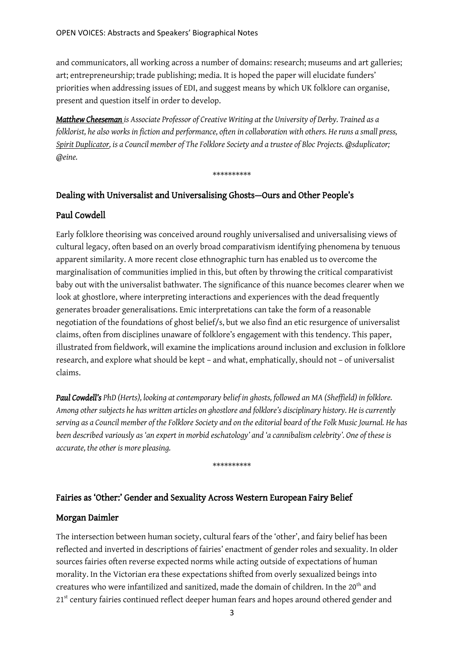and communicators, all working across a number of domains: research; museums and art galleries; art; entrepreneurship; trade publishing; media. It is hoped the paper will elucidate funders' priorities when addressing issues of EDI, and suggest means by which UK folklore can organise, present and question itself in order to develop.

*[Matthew Cheeseman](https://www.derby.ac.uk/staff/matthew-cheeseman/) is Associate Professor of Creative Writing at the University of Derby. Trained as a folklorist, he also works in fiction and performance, often in collaboration with others. He runs a small press, [Spirit Duplicator,](https://www.spiritduplicator.org/) is a Council member of The Folklore Society and a trustee of Bloc Projects. @sduplicator; @eine.*

#### \*\*\*\*\*\*\*\*\*\*

### Dealing with Universalist and Universalising Ghosts—Ours and Other People's

### Paul Cowdell

Early folklore theorising was conceived around roughly universalised and universalising views of cultural legacy, often based on an overly broad comparativism identifying phenomena by tenuous apparent similarity. A more recent close ethnographic turn has enabled us to overcome the marginalisation of communities implied in this, but often by throwing the critical comparativist baby out with the universalist bathwater. The significance of this nuance becomes clearer when we look at ghostlore, where interpreting interactions and experiences with the dead frequently generates broader generalisations. Emic interpretations can take the form of a reasonable negotiation of the foundations of ghost belief/s, but we also find an etic resurgence of universalist claims, often from disciplines unaware of folklore's engagement with this tendency. This paper, illustrated from fieldwork, will examine the implications around inclusion and exclusion in folklore research, and explore what should be kept – and what, emphatically, should not – of universalist claims.

*Paul Cowdell's PhD (Herts), looking at contemporary belief in ghosts, followed an MA (Sheffield) in folklore. Among other subjects he has written articles on ghostlore and folklore's disciplinary history. He is currently serving as a Council member of the Folklore Society and on the editorial board of the Folk Music Journal. He has been described variously as 'an expert in morbid eschatology' and 'a cannibalism celebrity'. One of these is accurate, the other is more pleasing.*

\*\*\*\*\*\*\*\*\*\*

#### Fairies as 'Other:' Gender and Sexuality Across Western European Fairy Belief

#### Morgan Daimler

The intersection between human society, cultural fears of the 'other', and fairy belief has been reflected and inverted in descriptions of fairies' enactment of gender roles and sexuality. In older sources fairies often reverse expected norms while acting outside of expectations of human morality. In the Victorian era these expectations shifted from overly sexualized beings into creatures who were infantilized and sanitized, made the domain of children. In the 20<sup>th</sup> and 21<sup>st</sup> century fairies continued reflect deeper human fears and hopes around othered gender and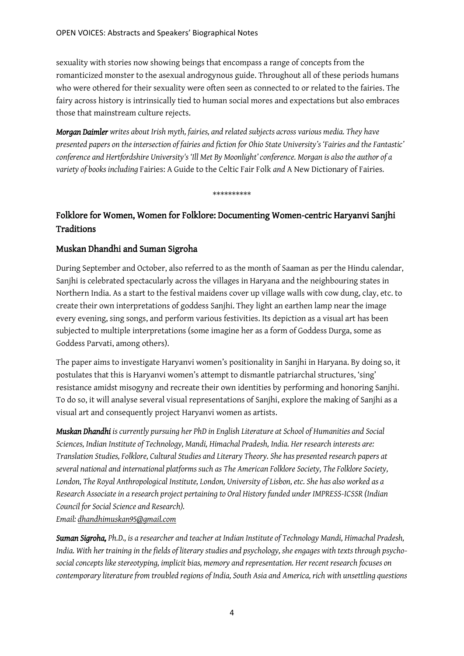sexuality with stories now showing beings that encompass a range of concepts from the romanticized monster to the asexual androgynous guide. Throughout all of these periods humans who were othered for their sexuality were often seen as connected to or related to the fairies. The fairy across history is intrinsically tied to human social mores and expectations but also embraces those that mainstream culture rejects.

*Morgan Daimler writes about Irish myth, fairies, and related subjects across various media. They have presented papers on the intersection of fairies and fiction for Ohio State University's 'Fairies and the Fantastic' conference and Hertfordshire University's 'Ill Met By Moonlight' conference. Morgan is also the author of a variety of books including* Fairies: A Guide to the Celtic Fair Folk *and* A New Dictionary of Fairies*.*

\*\*\*\*\*\*\*\*\*\*

## Folklore for Women, Women for Folklore: Documenting Women-centric Haryanvi Sanjhi Traditions

#### Muskan Dhandhi and Suman Sigroha

During September and October, also referred to as the month of Saaman as per the Hindu calendar, Sanjhi is celebrated spectacularly across the villages in Haryana and the neighbouring states in Northern India. As a start to the festival maidens cover up village walls with cow dung, clay, etc. to create their own interpretations of goddess Sanjhi. They light an earthen lamp near the image every evening, sing songs, and perform various festivities. Its depiction as a visual art has been subjected to multiple interpretations (some imagine her as a form of Goddess Durga, some as Goddess Parvati, among others).

The paper aims to investigate Haryanvi women's positionality in Sanjhi in Haryana. By doing so, it postulates that this is Haryanvi women's attempt to dismantle patriarchal structures, 'sing' resistance amidst misogyny and recreate their own identities by performing and honoring Sanjhi. To do so, it will analyse several visual representations of Sanjhi, explore the making of Sanjhi as a visual art and consequently project Haryanvi women as artists.

*Muskan Dhandhi is currently pursuing her PhD in English Literature at School of Humanities and Social Sciences, Indian Institute of Technology, Mandi, Himachal Pradesh, India. Her research interests are: Translation Studies, Folklore, Cultural Studies and Literary Theory. She has presented research papers at several national and international platforms such as The American Folklore Society, The Folklore Society, London, The Royal Anthropological Institute, London, University of Lisbon, etc. She has also worked as a Research Associate in a research project pertaining to Oral History funded under IMPRESS-ICSSR (Indian Council for Social Science and Research). Email[: dhandhimuskan95@gmail.com](mailto:dhandhimuskan95@gmail.com)*

*Suman Sigroha, Ph.D., is a researcher and teacher at Indian Institute of Technology Mandi, Himachal Pradesh, India. With her training in the fields of literary studies and psychology, she engages with texts through psychosocial concepts like stereotyping, implicit bias, memory and representation. Her recent research focuses on contemporary literature from troubled regions of India, South Asia and America, rich with unsettling questions*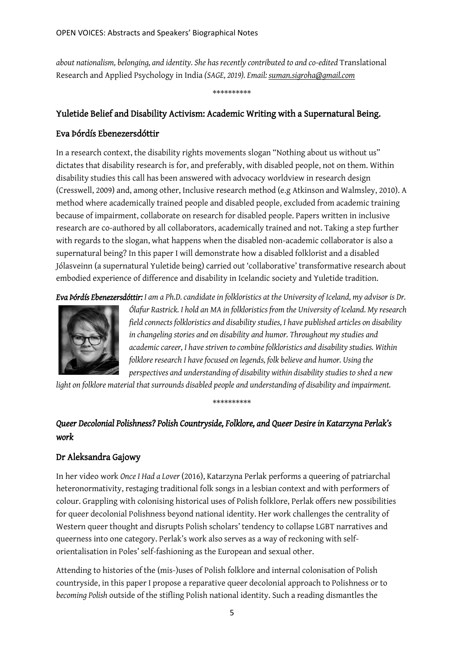*about nationalism, belonging, and identity. She has recently contributed to and co-edited* Translational Research and Applied Psychology in India *(SAGE, 2019). Email[: suman.sigroha@gmail.com](mailto:suman.sigroha@gmail.com)*

\*\*\*\*\*\*\*\*\*\*

### Yuletide Belief and Disability Activism: Academic Writing with a Supernatural Being.

### Eva Þórdís Ebenezersdóttir

In a research context, the disability rights movements slogan "Nothing about us without us" dictates that disability research is for, and preferably, with disabled people, not on them. Within disability studies this call has been answered with advocacy worldview in research design (Cresswell, 2009) and, among other, Inclusive research method (e.g Atkinson and Walmsley, 2010). A method where academically trained people and disabled people, excluded from academic training because of impairment, collaborate on research for disabled people. Papers written in inclusive research are co-authored by all collaborators, academically trained and not. Taking a step further with regards to the slogan, what happens when the disabled non-academic collaborator is also a supernatural being? In this paper I will demonstrate how a disabled folklorist and a disabled Jólasveinn (a supernatural Yuletide being) carried out 'collaborative' transformative research about embodied experience of difference and disability in Icelandic society and Yuletide tradition.

*Eva Þórdís Ebenezersdóttir: I am a Ph.D. candidate in folkloristics at the University of Iceland, my advisor is Dr.* 



*Ólafur Rastrick. I hold an MA in folkloristics from the University of Iceland. My research field connects folkloristics and disability studies, I have published articles on disability in changeling stories and on disability and humor. Throughout my studies and academic career, I have striven to combine folkloristics and disability studies. Within folklore research I have focused on legends, folk believe and humor. Using the perspectives and understanding of disability within disability studies to shed a new* 

*light on folklore material that surrounds disabled people and understanding of disability and impairment.*

# *Queer Decolonial Polishness? Polish Countryside, Folklore, and Queer Desire in Katarzyna Perlak's work*

\*\*\*\*\*\*\*\*\*\*

# Dr Aleksandra Gajowy

In her video work *Once I Had a Lover* (2016), Katarzyna Perlak performs a queering of patriarchal heteronormativity, restaging traditional folk songs in a lesbian context and with performers of colour. Grappling with colonising historical uses of Polish folklore, Perlak offers new possibilities for queer decolonial Polishness beyond national identity. Her work challenges the centrality of Western queer thought and disrupts Polish scholars' tendency to collapse LGBT narratives and queerness into one category. Perlak's work also serves as a way of reckoning with selforientalisation in Poles' self-fashioning as the European and sexual other.

Attending to histories of the (mis-)uses of Polish folklore and internal colonisation of Polish countryside, in this paper I propose a reparative queer decolonial approach to Polishness or to *becoming Polish* outside of the stifling Polish national identity. Such a reading dismantles the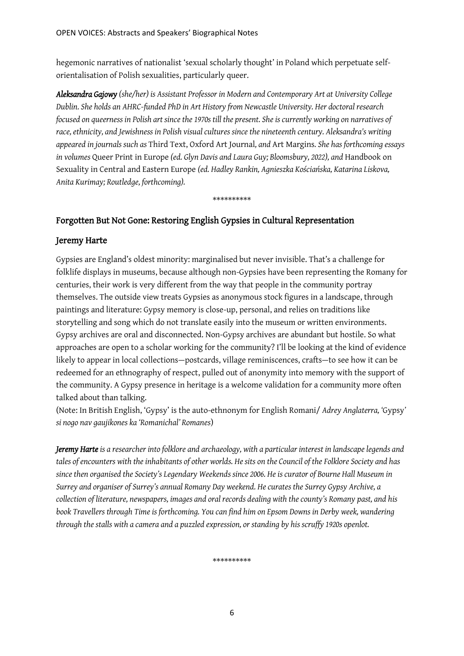hegemonic narratives of nationalist 'sexual scholarly thought' in Poland which perpetuate selforientalisation of Polish sexualities, particularly queer.

*Aleksandra Gajowy (she/her) is Assistant Professor in Modern and Contemporary Art at University College Dublin. She holds an AHRC-funded PhD in Art History from Newcastle University. Her doctoral research focused on queerness in Polish art since the 1970s till the present. She is currently working on narratives of race, ethnicity, and Jewishness in Polish visual cultures since the nineteenth century. Aleksandra's writing appeared in journals such as* Third Text, Oxford Art Journal*, and* Art Margins*. She has forthcoming essays in volumes* Queer Print in Europe *(ed. Glyn Davis and Laura Guy; Bloomsbury, 2022), and* Handbook on Sexuality in Central and Eastern Europe *(ed. Hadley Rankin, Agnieszka Kościańska, Katarina Liskova, Anita Kurimay; Routledge, forthcoming).*

\*\*\*\*\*\*\*\*\*\*

### Forgotten But Not Gone: Restoring English Gypsies in Cultural Representation

#### Jeremy Harte

Gypsies are England's oldest minority: marginalised but never invisible. That's a challenge for folklife displays in museums, because although non-Gypsies have been representing the Romany for centuries, their work is very different from the way that people in the community portray themselves. The outside view treats Gypsies as anonymous stock figures in a landscape, through paintings and literature: Gypsy memory is close-up, personal, and relies on traditions like storytelling and song which do not translate easily into the museum or written environments. Gypsy archives are oral and disconnected. Non-Gypsy archives are abundant but hostile. So what approaches are open to a scholar working for the community? I'll be looking at the kind of evidence likely to appear in local collections—postcards, village reminiscences, crafts—to see how it can be redeemed for an ethnography of respect, pulled out of anonymity into memory with the support of the community. A Gypsy presence in heritage is a welcome validation for a community more often talked about than talking.

(Note: In British English, 'Gypsy' is the auto-ethnonym for English Romani/ *Adrey Anglaterra, '*Gypsy*' si nogo nav gaujikones ka 'Romanichal' Romanes*)

*Jeremy Harte is a researcher into folklore and archaeology, with a particular interest in landscape legends and tales of encounters with the inhabitants of other worlds. He sits on the Council of the Folklore Society and has since then organised the Society's Legendary Weekends since 2006. He is curator of Bourne Hall Museum in Surrey and organiser of Surrey's annual Romany Day weekend. He curates the Surrey Gypsy Archive, a collection of literature, newspapers, images and oral records dealing with the county's Romany past, and his book Travellers through Timeis forthcoming. You can find him on Epsom Downs in Derby week, wandering through the stalls with a camera and a puzzled expression, or standing by his scruffy 1920s openlot.*

\*\*\*\*\*\*\*\*\*\*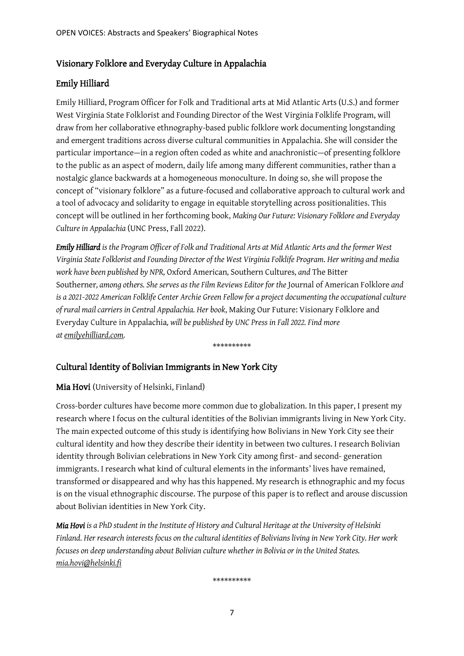#### Visionary Folklore and Everyday Culture in Appalachia

#### Emily Hilliard

Emily Hilliard, Program Officer for Folk and Traditional arts at Mid Atlantic Arts (U.S.) and former West Virginia State Folklorist and Founding Director of the West Virginia Folklife Program, will draw from her collaborative ethnography-based public folklore work documenting longstanding and emergent traditions across diverse cultural communities in Appalachia. She will consider the particular importance—in a region often coded as white and anachronistic—of presenting folklore to the public as an aspect of modern, daily life among many different communities, rather than a nostalgic glance backwards at a homogeneous monoculture. In doing so, she will propose the concept of "visionary folklore" as a future-focused and collaborative approach to cultural work and a tool of advocacy and solidarity to engage in equitable storytelling across positionalities. This concept will be outlined in her forthcoming book, *Making Our Future: Visionary Folklore and Everyday Culture in Appalachia* (UNC Press, Fall 2022).

*Emily Hilliard is the Program Officer of Folk and Traditional Arts at Mid Atlantic Arts and the former West Virginia State Folklorist and Founding Director of the West Virginia Folklife Program. Her writing and media work have been published by NPR,* Oxford American*,* Southern Cultures*, and* The Bitter Southerner*, among others. She serves as the Film Reviews Editor for the* Journal of American Folklore *and is a 2021-2022 American Folklife Center Archie Green Fellow for a project documenting the occupational culture of rural mail carriers in Central Appalachia. Her book*, Making Our Future: Visionary Folklore and Everyday Culture in Appalachia*, will be published by UNC Press in Fall 2022. Find more a[temilyehilliard.com.](http://emilyehilliard.com/)*

\*\*\*\*\*\*\*\*\*\*

### Cultural Identity of Bolivian Immigrants in New York City

#### Mia Hovi (University of Helsinki, Finland)

Cross-border cultures have become more common due to globalization. In this paper, I present my research where I focus on the cultural identities of the Bolivian immigrants living in New York City. The main expected outcome of this study is identifying how Bolivians in New York City see their cultural identity and how they describe their identity in between two cultures. I research Bolivian identity through Bolivian celebrations in New York City among first- and second- generation immigrants. I research what kind of cultural elements in the informants' lives have remained, transformed or disappeared and why has this happened. My research is ethnographic and my focus is on the visual ethnographic discourse. The purpose of this paper is to reflect and arouse discussion about Bolivian identities in New York City.

*Mia Hovi is a PhD student in the Institute of History and Cultural Heritage at the University of Helsinki Finland. Her research interests focus on the cultural identities of Bolivians living in New York City. Her work focuses on deep understanding about Bolivian culture whether in Bolivia or in the United States. [mia.hovi@helsinki.fi](mailto:mia.hovi@helsinki.fi)*

\*\*\*\*\*\*\*\*\*\*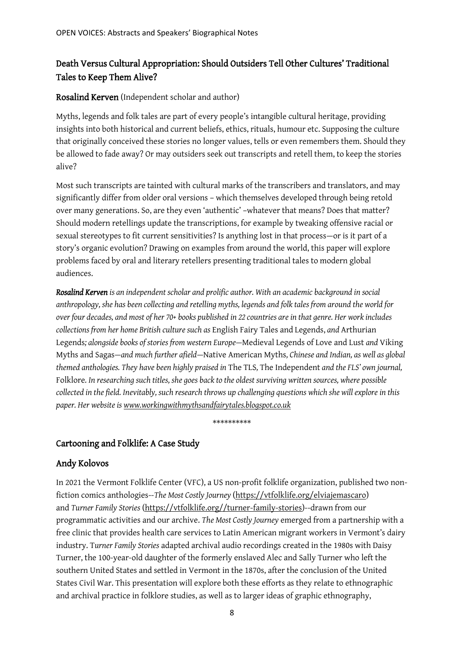### Death Versus Cultural Appropriation: Should Outsiders Tell Other Cultures' Traditional Tales to Keep Them Alive?

#### Rosalind Kerven (Independent scholar and author)

Myths, legends and folk tales are part of every people's intangible cultural heritage, providing insights into both historical and current beliefs, ethics, rituals, humour etc. Supposing the culture that originally conceived these stories no longer values, tells or even remembers them. Should they be allowed to fade away? Or may outsiders seek out transcripts and retell them, to keep the stories alive?

Most such transcripts are tainted with cultural marks of the transcribers and translators, and may significantly differ from older oral versions – which themselves developed through being retold over many generations. So, are they even 'authentic' –whatever that means? Does that matter? Should modern retellings update the transcriptions, for example by tweaking offensive racial or sexual stereotypes to fit current sensitivities? Is anything lost in that process—or is it part of a story's organic evolution? Drawing on examples from around the world, this paper will explore problems faced by oral and literary retellers presenting traditional tales to modern global audiences.

*Rosalind Kerven is an independent scholar and prolific author. With an academic background in social anthropology, she has been collecting and retelling myths, legends and folk tales from around the world for over four decades, and most of her 70+ books published in 22 countries are in that genre. Her work includes collections from her home British culture such as* English Fairy Tales and Legends, *and* Arthurian Legends*; alongside books of stories from western Europe—*Medieval Legends of Love and Lust *and* Viking Myths and Sagas*—and much further afield—*Native American Myths*, Chinese and Indian, as well as global themed anthologies. They have been highly praised in* The TLS*,* The Independent *and the FLS' own journal,*  Folklore*. In researching such titles, she goes back to the oldest surviving written sources, where possible collected in the field. Inevitably, such research throws up challenging questions which she will explore in this paper. Her website i[s www.workingwithmythsandfairytales.blogspot.co.uk](http://www.workingwithmythsandfairytales.blogspot.co.uk/)*

\*\*\*\*\*\*\*\*\*\*

### Cartooning and Folklife: A Case Study

### Andy Kolovos

In 2021 the Vermont Folklife Center (VFC), a US non-profit folklife organization, published two nonfiction comics anthologies--*The Most Costly Journey* [\(https://vtfolklife.org/elviajemascaro\)](https://vtfolklife.org/elviajemascaro) and *Turner Family Stories* [\(https://vtfolklife.org//turner-family-stories\)](https://vtfolklife.org/turner-family-stories)--drawn from our programmatic activities and our archive. *The Most Costly Journey* emerged from a partnership with a free clinic that provides health care services to Latin American migrant workers in Vermont's dairy industry. T*urner Family Stories* adapted archival audio recordings created in the 1980s with Daisy Turner, the 100-year-old daughter of the formerly enslaved Alec and Sally Turner who left the southern United States and settled in Vermont in the 1870s, after the conclusion of the United States Civil War. This presentation will explore both these efforts as they relate to ethnographic and archival practice in folklore studies, as well as to larger ideas of graphic ethnography,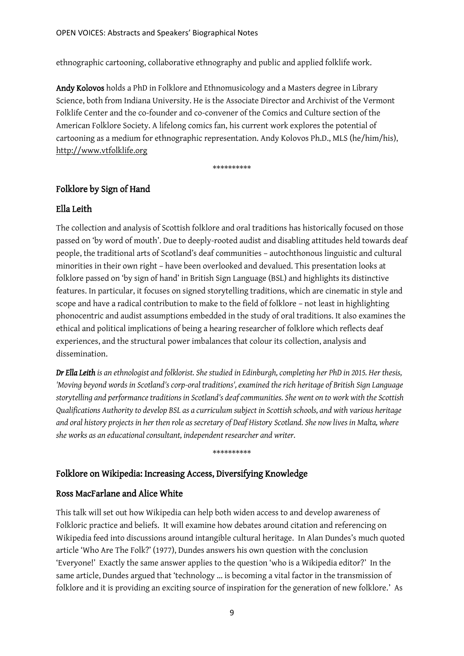ethnographic cartooning, collaborative ethnography and public and applied folklife work.

Andy Kolovos holds a PhD in Folklore and Ethnomusicology and a Masters degree in Library Science, both from Indiana University. He is the Associate Director and Archivist of the Vermont Folklife Center and the co-founder and co-convener of the Comics and Culture section of the American Folklore Society. A lifelong comics fan, his current work explores the potential of cartooning as a medium for ethnographic representation. Andy Kolovos Ph.D., MLS (he/him/his), [http://www.vtfolklife.org](http://www.vtfolklife.org/)

\*\*\*\*\*\*\*\*\*\*

#### Folklore by Sign of Hand

#### Ella Leith

The collection and analysis of Scottish folklore and oral traditions has historically focused on those passed on 'by word of mouth'. Due to deeply-rooted audist and disabling attitudes held towards deaf people, the traditional arts of Scotland's deaf communities – autochthonous linguistic and cultural minorities in their own right – have been overlooked and devalued. This presentation looks at folklore passed on 'by sign of hand' in British Sign Language (BSL) and highlights its distinctive features. In particular, it focuses on signed storytelling traditions, which are cinematic in style and scope and have a radical contribution to make to the field of folklore – not least in highlighting phonocentric and audist assumptions embedded in the study of oral traditions. It also examines the ethical and political implications of being a hearing researcher of folklore which reflects deaf experiences, and the structural power imbalances that colour its collection, analysis and dissemination.

*Dr Ella Leith is an ethnologist and folklorist. She studied in Edinburgh, completing her PhD in 2015. Her thesis, 'Moving beyond words in Scotland's corp-oral traditions', examined the rich heritage of British Sign Language storytelling and performance traditions in Scotland's deaf communities. She went on to work with the Scottish Qualifications Authority to develop BSL as a curriculum subject in Scottish schools, and with various heritage and oral history projects in her then role as secretary of Deaf History Scotland. She now lives in Malta, where she works as an educational consultant, independent researcher and writer.*

\*\*\*\*\*\*\*\*\*\*

#### Folklore on Wikipedia: Increasing Access, Diversifying Knowledge

#### Ross MacFarlane and Alice White

This talk will set out how Wikipedia can help both widen access to and develop awareness of Folkloric practice and beliefs. It will examine how debates around citation and referencing on Wikipedia feed into discussions around intangible cultural heritage. In Alan Dundes's much quoted article 'Who Are The Folk?' (1977), Dundes answers his own question with the conclusion 'Everyone!' Exactly the same answer applies to the question 'who is a Wikipedia editor?' In the same article, Dundes argued that 'technology ... is becoming a vital factor in the transmission of folklore and it is providing an exciting source of inspiration for the generation of new folklore.' As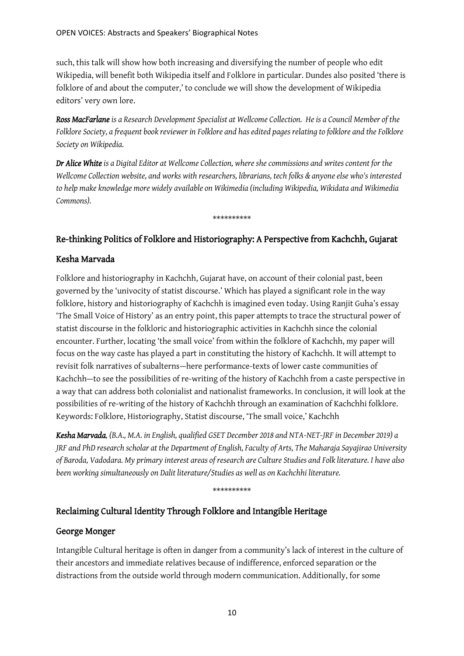such, this talk will show how both increasing and diversifying the number of people who edit Wikipedia, will benefit both Wikipedia itself and Folklore in particular. Dundes also posited 'there is folklore of and about the computer,' to conclude we will show the development of Wikipedia editors' very own lore.

*Ross MacFarlane is a Research Development Specialist at Wellcome Collection. He is a Council Member of the Folklore Society, a frequent book reviewer in Folklore and has edited pages relating to folklore and the Folklore Society on Wikipedia.*

*Dr Alice White is a Digital Editor at Wellcome Collection, where she commissions and writes content for the Wellcome Collection website, and works with researchers, librarians, tech folks & anyone else who's interested to help make knowledge more widely available on Wikimedia (including Wikipedia, Wikidata and Wikimedia Commons).*

\*\*\*\*\*\*\*\*\*\*

#### Re-thinking Politics of Folklore and Historiography: A Perspective from Kachchh, Gujarat

#### Kesha Marvada

Folklore and historiography in Kachchh, Gujarat have, on account of their colonial past, been governed by the 'univocity of statist discourse.' Which has played a significant role in the way folklore, history and historiography of Kachchh is imagined even today. Using Ranjit Guha's essay 'The Small Voice of History' as an entry point, this paper attempts to trace the structural power of statist discourse in the folkloric and historiographic activities in Kachchh since the colonial encounter. Further, locating 'the small voice' from within the folklore of Kachchh, my paper will focus on the way caste has played a part in constituting the history of Kachchh. It will attempt to revisit folk narratives of subalterns—here performance-texts of lower caste communities of Kachchh—to see the possibilities of re-writing of the history of Kachchh from a caste perspective in a way that can address both colonialist and nationalist frameworks. In conclusion, it will look at the possibilities of re-writing of the history of Kachchh through an examination of Kachchhi folklore. Keywords: Folklore, Historiography, Statist discourse, 'The small voice,' Kachchh

*Kesha Marvada, (B.A., M.A. in English, qualified GSET December 2018 and NTA-NET-JRF in December 2019) a JRF and PhD research scholar at the Department of English, Faculty of Arts, The Maharaja Sayajirao University of Baroda, Vadodara. My primary interest areas of research are Culture Studies and Folk literature. I have also been working simultaneously on Dalit literature/Studies as well as on Kachchhi literature.* 

\*\*\*\*\*\*\*\*\*\*

#### Reclaiming Cultural Identity Through Folklore and Intangible Heritage

#### George Monger

Intangible Cultural heritage is often in danger from a community's lack of interest in the culture of their ancestors and immediate relatives because of indifference, enforced separation or the distractions from the outside world through modern communication. Additionally, for some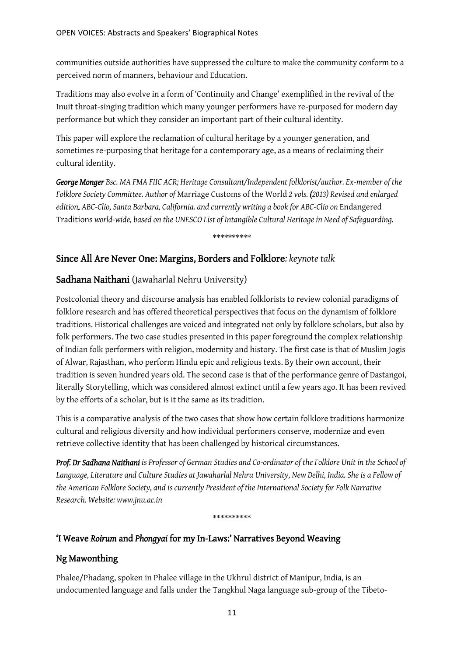communities outside authorities have suppressed the culture to make the community conform to a perceived norm of manners, behaviour and Education.

Traditions may also evolve in a form of 'Continuity and Change' exemplified in the revival of the Inuit throat-singing tradition which many younger performers have re-purposed for modern day performance but which they consider an important part of their cultural identity.

This paper will explore the reclamation of cultural heritage by a younger generation, and sometimes re-purposing that heritage for a contemporary age, as a means of reclaiming their cultural identity.

*George Monger Bsc. MA FMA FIIC ACR; Heritage Consultant/Independent folklorist/author. Ex-member of the Folklore Society Committee. Author of* Marriage Customs of the World *2 vols. (2013) Revised and enlarged edition. ABC-Clio, Santa Barbara, California. and currently writing a book for ABC-Clio on* Endangered Traditions *world-wide, based on the UNESCO List of Intangible Cultural Heritage in Need of Safeguarding.*

\*\*\*\*\*\*\*\*\*\*

## Since All Are Never One: Margins, Borders and Folklore*: keynote talk*

### Sadhana Naithani (Jawaharlal Nehru University)

Postcolonial theory and discourse analysis has enabled folklorists to review colonial paradigms of folklore research and has offered theoretical perspectives that focus on the dynamism of folklore traditions. Historical challenges are voiced and integrated not only by folklore scholars, but also by folk performers. The two case studies presented in this paper foreground the complex relationship of Indian folk performers with religion, modernity and history. The first case is that of Muslim Jogis of Alwar, Rajasthan, who perform Hindu epic and religious texts. By their own account, their tradition is seven hundred years old. The second case is that of the performance genre of Dastangoi, literally Storytelling, which was considered almost extinct until a few years ago. It has been revived by the efforts of a scholar, but is it the same as its tradition.

This is a comparative analysis of the two cases that show how certain folklore traditions harmonize cultural and religious diversity and how individual performers conserve, modernize and even retrieve collective identity that has been challenged by historical circumstances.

*Prof. Dr Sadhana Naithani is Professor of German Studies and Co-ordinator of the Folklore Unit in the School of Language, Literature and Culture Studies at Jawaharlal Nehru University, New Delhi, India. She is a Fellow of the American Folklore Society, and is currently President of the International Society for Folk Narrative Research. Website: [www.jnu.ac.in](http://www.jnu.ac.in/)*

\*\*\*\*\*\*\*\*\*\*

### 'I Weave *Roirum* and *Phongyai* for my In-Laws:' Narratives Beyond Weaving

### Ng Mawonthing

Phalee/Phadang, spoken in Phalee village in the Ukhrul district of Manipur, India, is an undocumented language and falls under the Tangkhul Naga language sub-group of the Tibeto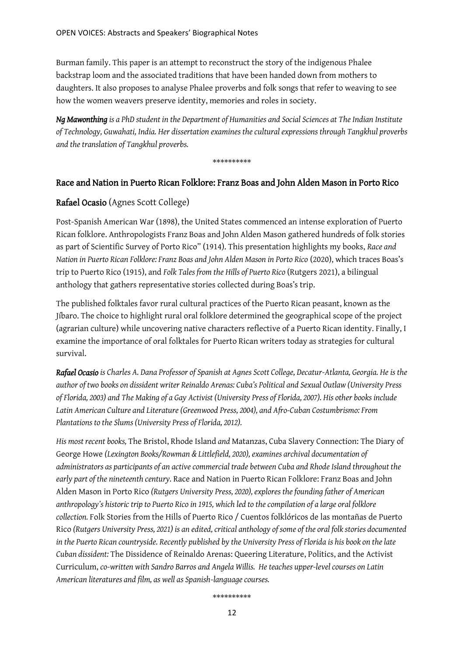Burman family. This paper is an attempt to reconstruct the story of the indigenous Phalee backstrap loom and the associated traditions that have been handed down from mothers to daughters. It also proposes to analyse Phalee proverbs and folk songs that refer to weaving to see how the women weavers preserve identity, memories and roles in society.

*Ng Mawonthing is a PhD student in the Department of Humanities and Social Sciences at The Indian Institute of Technology, Guwahati, India. Her dissertation examines the cultural expressions through Tangkhul proverbs and the translation of Tangkhul proverbs.*

\*\*\*\*\*\*\*\*\*\*

#### Race and Nation in Puerto Rican Folklore: Franz Boas and John Alden Mason in Porto Rico

#### Rafael Ocasio (Agnes Scott College)

Post-Spanish American War (1898), the United States commenced an intense exploration of Puerto Rican folklore. Anthropologists Franz Boas and John Alden Mason gathered hundreds of folk stories as part of Scientific Survey of Porto Rico" (1914). This presentation highlights my books, *Race and Nation in Puerto Rican Folklore: Franz Boas and John Alden Mason in Porto Rico* (2020), which traces Boas's trip to Puerto Rico (1915), and *Folk Tales from the Hills of Puerto Rico* (Rutgers 2021), a bilingual anthology that gathers representative stories collected during Boas's trip.

The published folktales favor rural cultural practices of the Puerto Rican peasant, known as the Jíbaro. The choice to highlight rural oral folklore determined the geographical scope of the project (agrarian culture) while uncovering native characters reflective of a Puerto Rican identity. Finally, I examine the importance of oral folktales for Puerto Rican writers today as strategies for cultural survival.

*Rafael Ocasio is Charles A. Dana Professor of Spanish at Agnes Scott College, Decatur-Atlanta, Georgia. He is the author of two books on dissident writer Reinaldo Arenas: Cuba's Political and Sexual Outlaw (University Press of Florida, 2003) and The Making of a Gay Activist (University Press of Florida, 2007). His other books include Latin American Culture and Literature (Greenwood Press, 2004), and Afro-Cuban Costumbrismo: From Plantations to the Slums (University Press of Florida, 2012).* 

*His most recent books,* The Bristol, Rhode Island *and* Matanzas, Cuba Slavery Connection: The Diary of George Howe *(Lexington Books/Rowman & Littlefield, 2020), examines archival documentation of administrators as participants of an active commercial trade between Cuba and Rhode Island throughout the early part of the nineteenth century.* Race and Nation in Puerto Rican Folklore: Franz Boas and John Alden Mason in Porto Rico *(Rutgers University Press, 2020), explores the founding father of American anthropology's historic trip to Puerto Rico in 1915, which led to the compilation of a large oral folklore collection.* Folk Stories from the Hills of Puerto Rico / Cuentos folklóricos de las montañas de Puerto Rico *(Rutgers University Press, 2021) is an edited, critical anthology of some of the oral folk stories documented in the Puerto Rican countryside. Recently published by the University Press of Florida is his book on the late Cuban dissident:* The Dissidence of Reinaldo Arenas: Queering Literature, Politics, and the Activist Curriculum, *co-written with Sandro Barros and Angela Willis. He teaches upper-level courses on Latin American literatures and film, as well as Spanish-language courses.* 

\*\*\*\*\*\*\*\*\*\*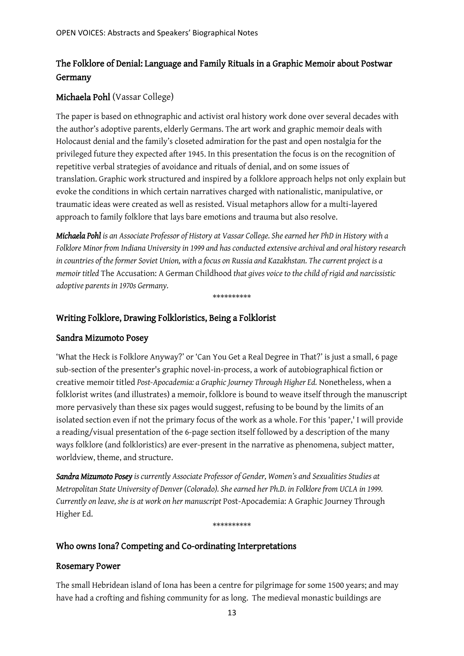## The Folklore of Denial: Language and Family Rituals in a Graphic Memoir about Postwar Germany

### Michaela Pohl (Vassar College)

The paper is based on ethnographic and activist oral history work done over several decades with the author's adoptive parents, elderly Germans. The art work and graphic memoir deals with Holocaust denial and the family's closeted admiration for the past and open nostalgia for the privileged future they expected after 1945. In this presentation the focus is on the recognition of repetitive verbal strategies of avoidance and rituals of denial, and on some issues of translation. Graphic work structured and inspired by a folklore approach helps not only explain but evoke the conditions in which certain narratives charged with nationalistic, manipulative, or traumatic ideas were created as well as resisted. Visual metaphors allow for a multi-layered approach to family folklore that lays bare emotions and trauma but also resolve.

*Michaela Pohl is an Associate Professor of History at Vassar College. She earned her PhD in History with a Folklore Minor from Indiana University in 1999 and has conducted extensive archival and oral history research in countries of the former Soviet Union, with a focus on Russia and Kazakhstan. The current project is a memoir titled* The Accusation: A German Childhood *that gives voice to the child of rigid and narcissistic adoptive parents in 1970s Germany.*

\*\*\*\*\*\*\*\*\*\*

#### Writing Folklore, Drawing Folkloristics, Being a Folklorist

#### Sandra Mizumoto Posey

'What the Heck is Folklore Anyway?' or 'Can You Get a Real Degree in That?' is just a small, 6 page sub-section of the presenter's graphic novel-in-process, a work of autobiographical fiction or creative memoir titled *Post-Apocademia: a Graphic Journey Through Higher Ed.* Nonetheless, when a folklorist writes (and illustrates) a memoir, folklore is bound to weave itself through the manuscript more pervasively than these six pages would suggest, refusing to be bound by the limits of an isolated section even if not the primary focus of the work as a whole. For this 'paper,' I will provide a reading/visual presentation of the 6-page section itself followed by a description of the many ways folklore (and folkloristics) are ever-present in the narrative as phenomena, subject matter, worldview, theme, and structure.

*Sandra Mizumoto Posey is currently Associate Professor of Gender, Women's and Sexualities Studies at Metropolitan State University of Denver (Colorado). She earned her Ph.D. in Folklore from UCLA in 1999. Currently on leave, she is at work on her manuscript* Post-Apocademia: A Graphic Journey Through Higher Ed.

#### \*\*\*\*\*\*\*\*\*\*

#### Who owns Iona? Competing and Co-ordinating Interpretations

#### Rosemary Power

The small Hebridean island of Iona has been a centre for pilgrimage for some 1500 years; and may have had a crofting and fishing community for as long. The medieval monastic buildings are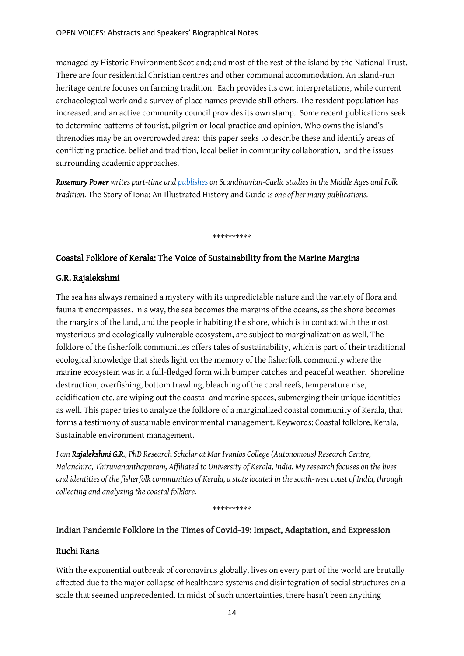managed by Historic Environment Scotland; and most of the rest of the island by the National Trust. There are four residential Christian centres and other communal accommodation. An island-run heritage centre focuses on farming tradition. Each provides its own interpretations, while current archaeological work and a survey of place names provide still others. The resident population has increased, and an active community council provides its own stamp. Some recent publications seek to determine patterns of tourist, pilgrim or local practice and opinion. Who owns the island's threnodies may be an overcrowded area: this paper seeks to describe these and identify areas of conflicting practice, belief and tradition, local belief in community collaboration, and the issues surrounding academic approaches.

*Rosemary Power writes part-time an[d publishes](https://www.researchgate.net/profile/Rosemary-Power-2) on Scandinavian-Gaelic studies in the Middle Ages and Folk tradition.* The Story of Iona: An Illustrated History and Guide *is one of her many publications.*

\*\*\*\*\*\*\*\*\*\*

### Coastal Folklore of Kerala: The Voice of Sustainability from the Marine Margins

#### G.R. Rajalekshmi

The sea has always remained a mystery with its unpredictable nature and the variety of flora and fauna it encompasses. In a way, the sea becomes the margins of the oceans, as the shore becomes the margins of the land, and the people inhabiting the shore, which is in contact with the most mysterious and ecologically vulnerable ecosystem, are subject to marginalization as well. The folklore of the fisherfolk communities offers tales of sustainability, which is part of their traditional ecological knowledge that sheds light on the memory of the fisherfolk community where the marine ecosystem was in a full-fledged form with bumper catches and peaceful weather. Shoreline destruction, overfishing, bottom trawling, bleaching of the coral reefs, temperature rise, acidification etc. are wiping out the coastal and marine spaces, submerging their unique identities as well. This paper tries to analyze the folklore of a marginalized coastal community of Kerala, that forms a testimony of sustainable environmental management. Keywords: Coastal folklore, Kerala, Sustainable environment management.

*I am Rajalekshmi G.R., PhD Research Scholar at Mar Ivanios College (Autonomous) Research Centre, Nalanchira, Thiruvananthapuram, Affiliated to University of Kerala, India. My research focuses on the lives and identities of the fisherfolk communities of Kerala, a state located in the south-west coast of India, through collecting and analyzing the coastal folklore.*

#### \*\*\*\*\*\*\*\*\*\*

### Indian Pandemic Folklore in the Times of Covid-19: Impact, Adaptation, and Expression

#### Ruchi Rana

With the exponential outbreak of coronavirus globally, lives on every part of the world are brutally affected due to the major collapse of healthcare systems and disintegration of social structures on a scale that seemed unprecedented. In midst of such uncertainties, there hasn't been anything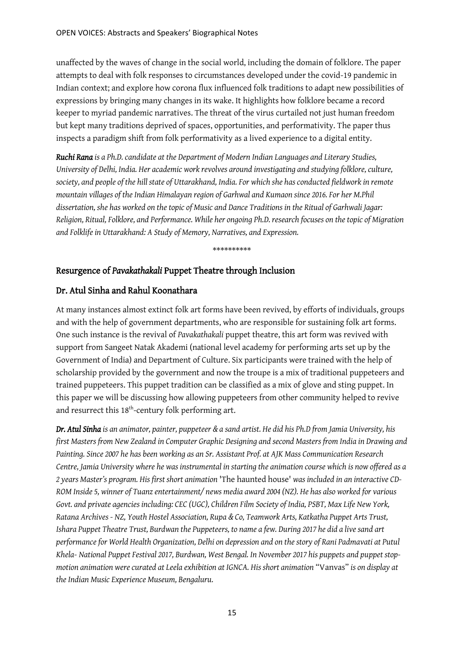unaffected by the waves of change in the social world, including the domain of folklore. The paper attempts to deal with folk responses to circumstances developed under the covid-19 pandemic in Indian context; and explore how corona flux influenced folk traditions to adapt new possibilities of expressions by bringing many changes in its wake. It highlights how folklore became a record keeper to myriad pandemic narratives. The threat of the virus curtailed not just human freedom but kept many traditions deprived of spaces, opportunities, and performativity. The paper thus inspects a paradigm shift from folk performativity as a lived experience to a digital entity.

*Ruchi Rana is a Ph.D. candidate at the Department of Modern Indian Languages and Literary Studies, University of Delhi, India. Her academic work revolves around investigating and studying folklore, culture, society, and people of the hill state of Uttarakhand, India. For which she has conducted fieldwork in remote mountain villages of the Indian Himalayan region of Garhwal and Kumaon since 2016. For her M.Phil dissertation, she has worked on the topic of Music and Dance Traditions in the Ritual of Garhwali Jagar: Religion, Ritual, Folklore, and Performance. While her ongoing Ph.D. research focuses on the topic of Migration and Folklife in Uttarakhand: A Study of Memory, Narratives, and Expression.* 

\*\*\*\*\*\*\*\*\*\*

### Resurgence of *Pavakathakali* Puppet Theatre through Inclusion

#### Dr. Atul Sinha and Rahul Koonathara

At many instances almost extinct folk art forms have been revived, by efforts of individuals, groups and with the help of government departments, who are responsible for sustaining folk art forms. One such instance is the revival of *Pavakathakali* puppet theatre, this art form was revived with support from Sangeet Natak Akademi (national level academy for performing arts set up by the Government of India) and Department of Culture. Six participants were trained with the help of scholarship provided by the government and now the troupe is a mix of traditional puppeteers and trained puppeteers. This puppet tradition can be classified as a mix of glove and sting puppet. In this paper we will be discussing how allowing puppeteers from other community helped to revive and resurrect this  $18<sup>th</sup>$ -century folk performing art.

*Dr. Atul Sinha is an animator, painter, puppeteer & a sand artist. He did his Ph.D from Jamia University, his first Masters from New Zealand in Computer Graphic Designing and second Masters from India in Drawing and Painting. Since 2007 he has been working as an Sr. Assistant Prof. at AJK Mass Communication Research Centre, Jamia University where he was instrumental in starting the animation course which is now offered as a 2 years Master's program. His first short animation* 'The haunted house' *was included in an interactive CD-ROM Inside 5, winner of Tuanz entertainment/ news media award 2004 (NZ). He has also worked for various Govt. and private agencies including: CEC (UGC), Children Film Society of India, PSBT, Max Life New York, Ratana Archives - NZ, Youth Hostel Association, Rupa & Co, Teamwork Arts, Katkatha Puppet Arts Trust, Ishara Puppet Theatre Trust, Burdwan the Puppeteers, to name a few. During 2017 he did a live sand art performance for World Health Organization, Delhi on depression and on the story of Rani Padmavati at Putul Khela- National Puppet Festival 2017, Burdwan, West Bengal. In November 2017 his puppets and puppet stopmotion animation were curated at Leela exhibition at IGNCA. His short animation* "Vanvas" *is on display at the Indian Music Experience Museum, Bengaluru.*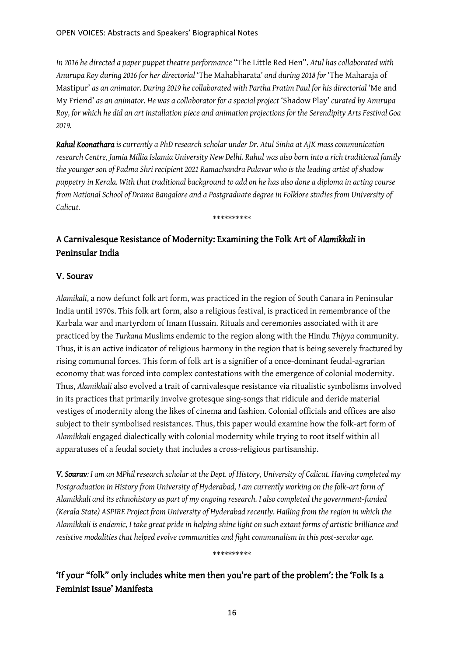*In 2016 he directed a paper puppet theatre performance* "The Little Red Hen". *Atul has collaborated with Anurupa Roy during 2016 for her directorial* 'The Mahabharata' *and during 2018 for* 'The Maharaja of Mastipur' *as an animator. During 2019 he collaborated with Partha Pratim Paul for his directorial* 'Me and My Friend' *as an animator. He was a collaborator for a special project* 'Shadow Play' *curated by Anurupa Roy, for which he did an art installation piece and animation projections for the Serendipity Arts Festival Goa 2019.* 

*Rahul Koonathara is currently a PhD research scholar under Dr. Atul Sinha at AJK mass communication research Centre, Jamia Millia Islamia University New Delhi. Rahul was also born into a rich traditional family the younger son of Padma Shri recipient 2021 Ramachandra Pulavar who is the leading artist of shadow puppetry in Kerala. With that traditional background to add on he has also done a diploma in acting course from National School of Drama Bangalore and a Postgraduate degree in Folklore studies from University of Calicut.*

\*\*\*\*\*\*\*\*\*\*

# A Carnivalesque Resistance of Modernity: Examining the Folk Art of *Alamikkali* in Peninsular India

### V. Sourav

*Alamikali*, a now defunct folk art form, was practiced in the region of South Canara in Peninsular India until 1970s. This folk art form, also a religious festival, is practiced in remembrance of the Karbala war and martyrdom of Imam Hussain. Rituals and ceremonies associated with it are practiced by the *Turkana* Muslims endemic to the region along with the Hindu *Thiyya* community. Thus, it is an active indicator of religious harmony in the region that is being severely fractured by rising communal forces. This form of folk art is a signifier of a once-dominant feudal-agrarian economy that was forced into complex contestations with the emergence of colonial modernity. Thus, *Alamikkali* also evolved a trait of carnivalesque resistance via ritualistic symbolisms involved in its practices that primarily involve grotesque sing-songs that ridicule and deride material vestiges of modernity along the likes of cinema and fashion. Colonial officials and offices are also subject to their symbolised resistances. Thus, this paper would examine how the folk-art form of *Alamikkali* engaged dialectically with colonial modernity while trying to root itself within all apparatuses of a feudal society that includes a cross-religious partisanship.

*V. Sourav: I am an MPhil research scholar at the Dept. of History, University of Calicut. Having completed my Postgraduation in History from University of Hyderabad, I am currently working on the folk-art form of Alamikkali and its ethnohistory as part of my ongoing research. I also completed the government-funded (Kerala State) ASPIRE Project from University of Hyderabad recently. Hailing from the region in which the Alamikkali is endemic, I take great pride in helping shine light on such extant forms of artistic brilliance and resistive modalities that helped evolve communities and fight communalism in this post-secular age.* 

\*\*\*\*\*\*\*\*\*\*

'If your "folk" only includes white men then you're part of the problem': the 'Folk Is a Feminist Issue' Manifesta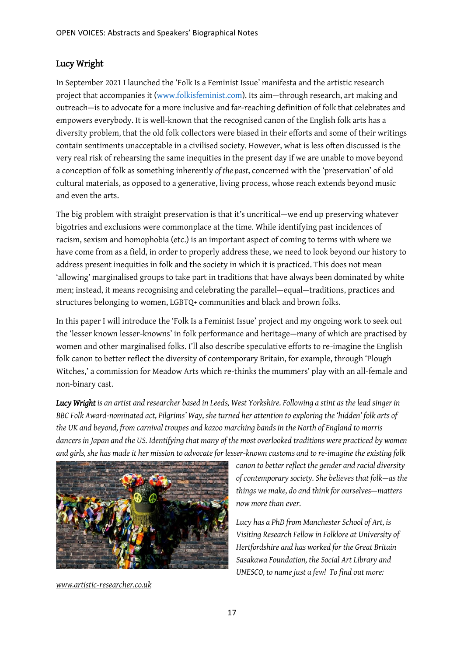### Lucy Wright

In September 2021 I launched the 'Folk Is a Feminist Issue' manifesta and the artistic research project that accompanies it [\(www.folkisfeminist.com\)](http://www.folkisfeminist.com/). Its aim—through research, art making and outreach—is to advocate for a more inclusive and far-reaching definition of folk that celebrates and empowers everybody. It is well-known that the recognised canon of the English folk arts has a diversity problem, that the old folk collectors were biased in their efforts and some of their writings contain sentiments unacceptable in a civilised society. However, what is less often discussed is the very real risk of rehearsing the same inequities in the present day if we are unable to move beyond a conception of folk as something inherently *of the past*, concerned with the 'preservation' of old cultural materials, as opposed to a generative, living process, whose reach extends beyond music and even the arts.

The big problem with straight preservation is that it's uncritical—we end up preserving whatever bigotries and exclusions were commonplace at the time. While identifying past incidences of racism, sexism and homophobia (etc.) is an important aspect of coming to terms with where we have come from as a field, in order to properly address these, we need to look beyond our history to address present inequities in folk and the society in which it is practiced. This does not mean 'allowing' marginalised groups to take part in traditions that have always been dominated by white men; instead, it means recognising and celebrating the parallel—equal—traditions, practices and structures belonging to women, LGBTQ+ communities and black and brown folks.

In this paper I will introduce the 'Folk Is a Feminist Issue' project and my ongoing work to seek out the 'lesser known lesser-knowns' in folk performance and heritage—many of which are practised by women and other marginalised folks. I'll also describe speculative efforts to re-imagine the English folk canon to better reflect the diversity of contemporary Britain, for example, through 'Plough Witches,' a commission for Meadow Arts which re-thinks the mummers' play with an all-female and non-binary cast.

*Lucy Wright is an artist and researcher based in Leeds, West Yorkshire. Following a stint as the lead singer in BBC Folk Award-nominated act, Pilgrims' Way, she turned her attention to exploring the 'hidden' folk arts of the UK and beyond, from carnival troupes and kazoo marching bands in the North of England to morris dancers in Japan and the US. Identifying that many of the most overlooked traditions were practiced by women and girls, she has made it her mission to advocate for lesser-known customs and to re-imagine the existing folk* 



*[www.artistic-researcher.co.uk](http://www.artistic-researcher.co.uk/)*

*canon to better reflect the gender and racial diversity of contemporary society. She believes that folk—as the things we make, do and think for ourselves—matters now more than ever.*

*Lucy has a PhD from Manchester School of Art, is Visiting Research Fellow in Folklore at University of Hertfordshire and has worked for the Great Britain Sasakawa Foundation, the Social Art Library and UNESCO, to name just a few! To find out more:*